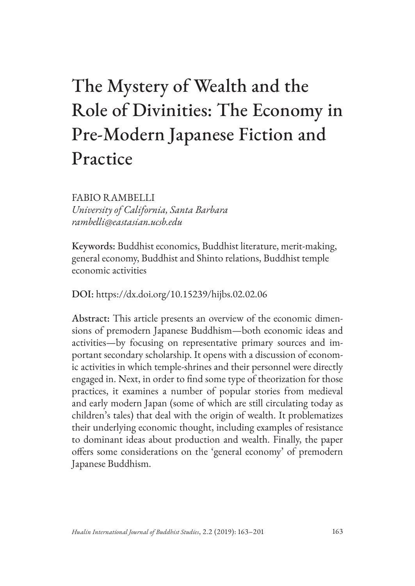# The Mystery of Wealth and the Role of Divinities: The Economy in Pre-Modern Japanese Fiction and Practice

FABIO RAMBELLI *University of California, Santa Barbara rambelli@eastasian.ucsb.edu*

Keywords: Buddhist economics, Buddhist literature, merit-making, general economy, Buddhist and Shinto relations, Buddhist temple economic activities

DOI: https://dx.doi.org/10.15239/hijbs.02.02.06

Abstract: This article presents an overview of the economic dimensions of premodern Japanese Buddhism—both economic ideas and activities—by focusing on representative primary sources and important secondary scholarship. It opens with a discussion of economic activities in which temple-shrines and their personnel were directly engaged in. Next, in order to find some type of theorization for those practices, it examines a number of popular stories from medieval and early modern Japan (some of which are still circulating today as children's tales) that deal with the origin of wealth. It problematizes their underlying economic thought, including examples of resistance to dominant ideas about production and wealth. Finally, the paper offers some considerations on the 'general economy' of premodern Japanese Buddhism.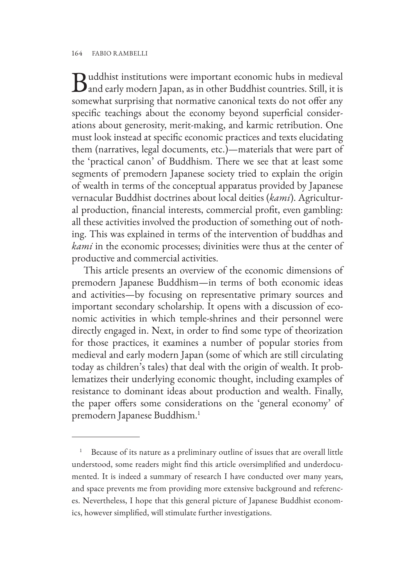Buddhist institutions were important economic hubs in medieval<br>and early modern Japan, as in other Buddhist countries. Still, it is somewhat surprising that normative canonical texts do not offer any specific teachings about the economy beyond superficial considerations about generosity, merit-making, and karmic retribution. One must look instead at specific economic practices and texts elucidating them (narratives, legal documents, etc.)—materials that were part of the 'practical canon' of Buddhism. There we see that at least some segments of premodern Japanese society tried to explain the origin of wealth in terms of the conceptual apparatus provided by Japanese vernacular Buddhist doctrines about local deities (*kami*). Agricultural production, financial interests, commercial profit, even gambling: all these activities involved the production of something out of nothing. This was explained in terms of the intervention of buddhas and *kami* in the economic processes; divinities were thus at the center of productive and commercial activities.

This article presents an overview of the economic dimensions of premodern Japanese Buddhism—in terms of both economic ideas and activities—by focusing on representative primary sources and important secondary scholarship. It opens with a discussion of economic activities in which temple-shrines and their personnel were directly engaged in. Next, in order to find some type of theorization for those practices, it examines a number of popular stories from medieval and early modern Japan (some of which are still circulating today as children's tales) that deal with the origin of wealth. It problematizes their underlying economic thought, including examples of resistance to dominant ideas about production and wealth. Finally, the paper offers some considerations on the 'general economy' of premodern Japanese Buddhism.1

Because of its nature as a preliminary outline of issues that are overall little understood, some readers might find this article oversimplified and underdocumented. It is indeed a summary of research I have conducted over many years, and space prevents me from providing more extensive background and references. Nevertheless, I hope that this general picture of Japanese Buddhist economics, however simplified, will stimulate further investigations.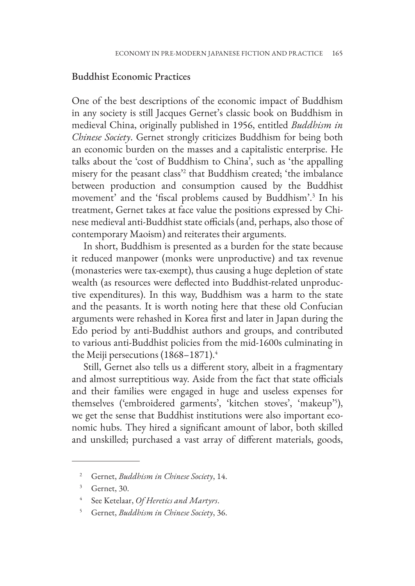#### Buddhist Economic Practices

One of the best descriptions of the economic impact of Buddhism in any society is still Jacques Gernet's classic book on Buddhism in medieval China, originally published in 1956, entitled *Buddhism in Chinese Society*. Gernet strongly criticizes Buddhism for being both an economic burden on the masses and a capitalistic enterprise. He talks about the 'cost of Buddhism to China', such as 'the appalling misery for the peasant class'<sup>2</sup> that Buddhism created; 'the imbalance between production and consumption caused by the Buddhist movement' and the 'fiscal problems caused by Buddhism'.3 In his treatment, Gernet takes at face value the positions expressed by Chinese medieval anti-Buddhist state officials (and, perhaps, also those of contemporary Maoism) and reiterates their arguments.

In short, Buddhism is presented as a burden for the state because it reduced manpower (monks were unproductive) and tax revenue (monasteries were tax-exempt), thus causing a huge depletion of state wealth (as resources were deflected into Buddhist-related unproductive expenditures). In this way, Buddhism was a harm to the state and the peasants. It is worth noting here that these old Confucian arguments were rehashed in Korea first and later in Japan during the Edo period by anti-Buddhist authors and groups, and contributed to various anti-Buddhist policies from the mid-1600s culminating in the Meiji persecutions (1868–1871).<sup>4</sup>

Still, Gernet also tells us a different story, albeit in a fragmentary and almost surreptitious way. Aside from the fact that state officials and their families were engaged in huge and useless expenses for themselves ('embroidered garments', 'kitchen stoves', 'makeup'5 ), we get the sense that Buddhist institutions were also important economic hubs. They hired a significant amount of labor, both skilled and unskilled; purchased a vast array of different materials, goods,

<sup>2</sup> Gernet, *Buddhism in Chinese Society*, 14.

<sup>3</sup> Gernet, 30.

<sup>4</sup> See Ketelaar, *Of Heretics and Martyrs*.

<sup>5</sup> Gernet, *Buddhism in Chinese Society*, 36.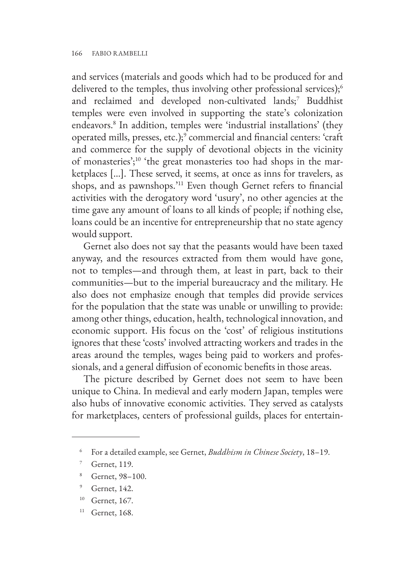and services (materials and goods which had to be produced for and delivered to the temples, thus involving other professional services);<sup>6</sup> and reclaimed and developed non-cultivated lands;<sup>7</sup> Buddhist temples were even involved in supporting the state's colonization endeavors.8 In addition, temples were 'industrial installations' (they operated mills, presses, etc.);9 commercial and financial centers: 'craft and commerce for the supply of devotional objects in the vicinity of monasteries';10 'the great monasteries too had shops in the marketplaces […]. These served, it seems, at once as inns for travelers, as shops, and as pawnshops.'11 Even though Gernet refers to financial activities with the derogatory word 'usury', no other agencies at the time gave any amount of loans to all kinds of people; if nothing else, loans could be an incentive for entrepreneurship that no state agency would support.

Gernet also does not say that the peasants would have been taxed anyway, and the resources extracted from them would have gone, not to temples—and through them, at least in part, back to their communities—but to the imperial bureaucracy and the military. He also does not emphasize enough that temples did provide services for the population that the state was unable or unwilling to provide: among other things, education, health, technological innovation, and economic support. His focus on the 'cost' of religious institutions ignores that these 'costs' involved attracting workers and trades in the areas around the temples, wages being paid to workers and professionals, and a general diffusion of economic benefits in those areas.

The picture described by Gernet does not seem to have been unique to China. In medieval and early modern Japan, temples were also hubs of innovative economic activities. They served as catalysts for marketplaces, centers of professional guilds, places for entertain-

<sup>6</sup> For a detailed example, see Gernet, *Buddhism in Chinese Society*, 18–19.

Gernet, 119.

Gernet, 98–100.

<sup>9</sup> Gernet, 142.

<sup>&</sup>lt;sup>10</sup> Gernet, 167.

<sup>&</sup>lt;sup>11</sup> Gernet, 168.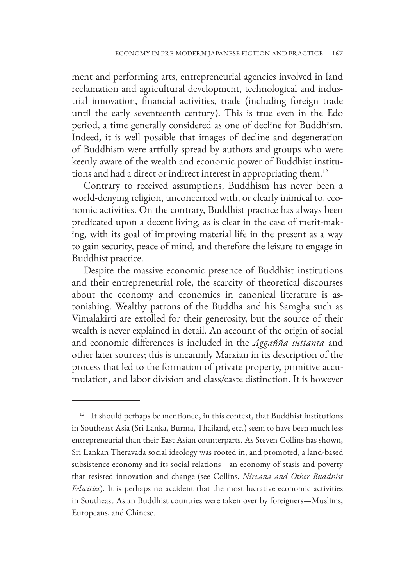ment and performing arts, entrepreneurial agencies involved in land reclamation and agricultural development, technological and industrial innovation, financial activities, trade (including foreign trade until the early seventeenth century). This is true even in the Edo period, a time generally considered as one of decline for Buddhism. Indeed, it is well possible that images of decline and degeneration of Buddhism were artfully spread by authors and groups who were keenly aware of the wealth and economic power of Buddhist institutions and had a direct or indirect interest in appropriating them.12

Contrary to received assumptions, Buddhism has never been a world-denying religion, unconcerned with, or clearly inimical to, economic activities. On the contrary, Buddhist practice has always been predicated upon a decent living, as is clear in the case of merit-making, with its goal of improving material life in the present as a way to gain security, peace of mind, and therefore the leisure to engage in Buddhist practice.

Despite the massive economic presence of Buddhist institutions and their entrepreneurial role, the scarcity of theoretical discourses about the economy and economics in canonical literature is astonishing. Wealthy patrons of the Buddha and his Samgha such as Vimalakirti are extolled for their generosity, but the source of their wealth is never explained in detail. An account of the origin of social and economic differences is included in the *Aggañña suttanta* and other later sources; this is uncannily Marxian in its description of the process that led to the formation of private property, primitive accumulation, and labor division and class/caste distinction. It is however

 $12$  It should perhaps be mentioned, in this context, that Buddhist institutions in Southeast Asia (Sri Lanka, Burma, Thailand, etc.) seem to have been much less entrepreneurial than their East Asian counterparts. As Steven Collins has shown, Sri Lankan Theravada social ideology was rooted in, and promoted, a land-based subsistence economy and its social relations—an economy of stasis and poverty that resisted innovation and change (see Collins, *Nirvana and Other Buddhist Felicities*). It is perhaps no accident that the most lucrative economic activities in Southeast Asian Buddhist countries were taken over by foreigners—Muslims, Europeans, and Chinese.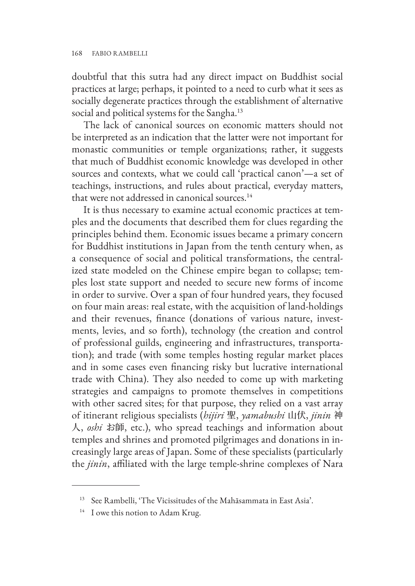doubtful that this sutra had any direct impact on Buddhist social practices at large; perhaps, it pointed to a need to curb what it sees as socially degenerate practices through the establishment of alternative social and political systems for the Sangha.<sup>13</sup>

The lack of canonical sources on economic matters should not be interpreted as an indication that the latter were not important for monastic communities or temple organizations; rather, it suggests that much of Buddhist economic knowledge was developed in other sources and contexts, what we could call 'practical canon'—a set of teachings, instructions, and rules about practical, everyday matters, that were not addressed in canonical sources.<sup>14</sup>

It is thus necessary to examine actual economic practices at temples and the documents that described them for clues regarding the principles behind them. Economic issues became a primary concern for Buddhist institutions in Japan from the tenth century when, as a consequence of social and political transformations, the centralized state modeled on the Chinese empire began to collapse; temples lost state support and needed to secure new forms of income in order to survive. Over a span of four hundred years, they focused on four main areas: real estate, with the acquisition of land-holdings and their revenues, finance (donations of various nature, investments, levies, and so forth), technology (the creation and control of professional guilds, engineering and infrastructures, transportation); and trade (with some temples hosting regular market places and in some cases even financing risky but lucrative international trade with China). They also needed to come up with marketing strategies and campaigns to promote themselves in competitions with other sacred sites; for that purpose, they relied on a vast array of itinerant religious specialists (*hijiri* 聖, *yamabushi* 山伏, *jinin* 神 人, *oshi* お師, etc.), who spread teachings and information about temples and shrines and promoted pilgrimages and donations in increasingly large areas of Japan. Some of these specialists (particularly the *jinin*, affiliated with the large temple-shrine complexes of Nara

<sup>13</sup> See Rambelli, 'The Vicissitudes of the Mahāsammata in East Asia'.

<sup>&</sup>lt;sup>14</sup> I owe this notion to Adam Krug.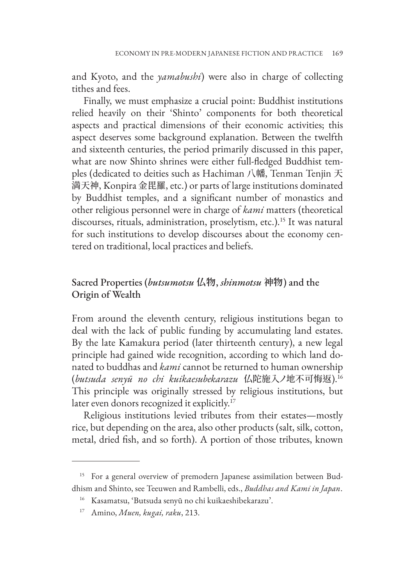and Kyoto, and the *yamabushi*) were also in charge of collecting tithes and fees.

Finally, we must emphasize a crucial point: Buddhist institutions relied heavily on their 'Shinto' components for both theoretical aspects and practical dimensions of their economic activities; this aspect deserves some background explanation. Between the twelfth and sixteenth centuries, the period primarily discussed in this paper, what are now Shinto shrines were either full-fledged Buddhist temples (dedicated to deities such as Hachiman 八幡, Tenman Tenjin 天 満天神, Konpira 金毘羅, etc.) or parts of large institutions dominated by Buddhist temples, and a significant number of monastics and other religious personnel were in charge of *kami* matters (theoretical discourses, rituals, administration, proselytism, etc.).<sup>15</sup> It was natural for such institutions to develop discourses about the economy centered on traditional, local practices and beliefs.

# Sacred Properties (*butsumotsu* **仏物**, *shinmotsu* **神物**) and the Origin of Wealth

From around the eleventh century, religious institutions began to deal with the lack of public funding by accumulating land estates. By the late Kamakura period (later thirteenth century), a new legal principle had gained wide recognition, according to which land donated to buddhas and *kami* cannot be returned to human ownership (*butsuda senyū no chi kuikaesubekarazu* 仏陀施入ノ地不可悔返).16 This principle was originally stressed by religious institutions, but later even donors recognized it explicitly.17

Religious institutions levied tributes from their estates—mostly rice, but depending on the area, also other products (salt, silk, cotton, metal, dried fish, and so forth). A portion of those tributes, known

<sup>&</sup>lt;sup>15</sup> For a general overview of premodern Japanese assimilation between Buddhism and Shinto, see Teeuwen and Rambelli, eds., *Buddhas and Kami in Japan*.

<sup>16</sup> Kasamatsu, 'Butsuda senyū no chi kuikaeshibekarazu'.

<sup>17</sup> Amino, *Muen, kugai, raku*, 213.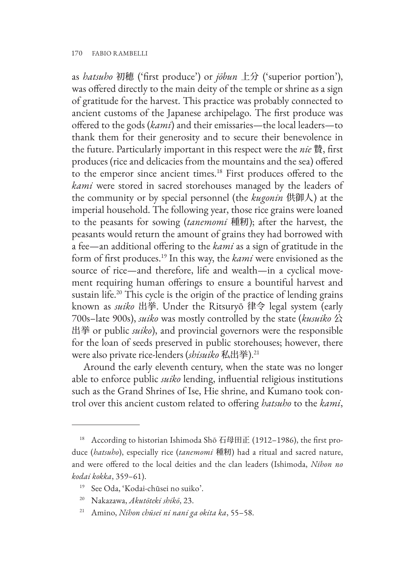as *hatsuho* 初穂 ('first produce') or *jōbun* 上分 ('superior portion'), was offered directly to the main deity of the temple or shrine as a sign of gratitude for the harvest. This practice was probably connected to ancient customs of the Japanese archipelago. The first produce was offered to the gods (*kami*) and their emissaries—the local leaders—to thank them for their generosity and to secure their benevolence in the future. Particularly important in this respect were the *nie* 贄, first produces (rice and delicacies from the mountains and the sea) offered to the emperor since ancient times.18 First produces offered to the *kami* were stored in sacred storehouses managed by the leaders of the community or by special personnel (the *kugonin* 供御人) at the imperial household. The following year, those rice grains were loaned to the peasants for sowing (*tanemomi* 種籾); after the harvest, the peasants would return the amount of grains they had borrowed with a fee—an additional offering to the *kami* as a sign of gratitude in the form of first produces.19 In this way, the *kami* were envisioned as the source of rice—and therefore, life and wealth—in a cyclical movement requiring human offerings to ensure a bountiful harvest and sustain life.<sup>20</sup> This cycle is the origin of the practice of lending grains known as *suiko* 出挙. Under the Ritsuryō 律令 legal system (early 700s–late 900s), *suiko* was mostly controlled by the state (*kusuiko* 公 出挙 or public *suiko*), and provincial governors were the responsible for the loan of seeds preserved in public storehouses; however, there were also private rice-lenders (*shisuiko* 私出挙).21

Around the early eleventh century, when the state was no longer able to enforce public *suiko* lending, influential religious institutions such as the Grand Shrines of Ise, Hie shrine, and Kumano took control over this ancient custom related to offering *hatsuho* to the *kami*,

<sup>&</sup>lt;sup>18</sup> According to historian Ishimoda Shō 石母田正 (1912-1986), the first produce (*hatsuho*), especially rice (*tanemomi* 種籾) had a ritual and sacred nature, and were offered to the local deities and the clan leaders (Ishimoda, *Nihon no kodai kokka*, 359–61).

<sup>19</sup> See Oda, 'Kodai-chūsei no suiko'.

<sup>20</sup> Nakazawa, *Akutōteki shikō*, 23.

<sup>21</sup> Amino, *Nihon chūsei ni nani ga okita ka*, 55–58.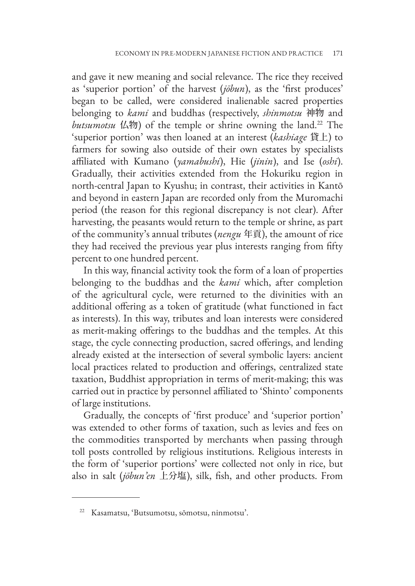and gave it new meaning and social relevance. The rice they received as 'superior portion' of the harvest (*jōbun*), as the 'first produces' began to be called, were considered inalienable sacred properties belonging to *kami* and buddhas (respectively, *shinmotsu* 神物 and *butsumotsu* 仏物) of the temple or shrine owning the land.22 The 'superior portion' was then loaned at an interest (*kashiage* 貸上) to farmers for sowing also outside of their own estates by specialists affiliated with Kumano (*yamabushi*), Hie (*jinin*), and Ise (*oshi*). Gradually, their activities extended from the Hokuriku region in north-central Japan to Kyushu; in contrast, their activities in Kantō and beyond in eastern Japan are recorded only from the Muromachi period (the reason for this regional discrepancy is not clear). After harvesting, the peasants would return to the temple or shrine, as part of the community's annual tributes (*nengu* 年貢), the amount of rice they had received the previous year plus interests ranging from fifty percent to one hundred percent.

In this way, financial activity took the form of a loan of properties belonging to the buddhas and the *kami* which, after completion of the agricultural cycle, were returned to the divinities with an additional offering as a token of gratitude (what functioned in fact as interests). In this way, tributes and loan interests were considered as merit-making offerings to the buddhas and the temples. At this stage, the cycle connecting production, sacred offerings, and lending already existed at the intersection of several symbolic layers: ancient local practices related to production and offerings, centralized state taxation, Buddhist appropriation in terms of merit-making; this was carried out in practice by personnel affiliated to 'Shinto' components of large institutions.

Gradually, the concepts of 'first produce' and 'superior portion' was extended to other forms of taxation, such as levies and fees on the commodities transported by merchants when passing through toll posts controlled by religious institutions. Religious interests in the form of 'superior portions' were collected not only in rice, but also in salt (*jōbun'en* 上分塩), silk, fish, and other products. From

<sup>22</sup> Kasamatsu, 'Butsumotsu, sōmotsu, ninmotsu'.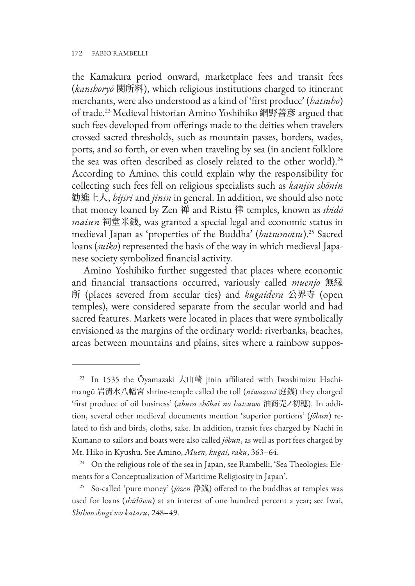the Kamakura period onward, marketplace fees and transit fees (*kanshoryō* 関所料), which religious institutions charged to itinerant merchants, were also understood as a kind of 'first produce' (*hatsuho*) of trade.23 Medieval historian Amino Yoshihiko 網野善彦 argued that such fees developed from offerings made to the deities when travelers crossed sacred thresholds, such as mountain passes, borders, wades, ports, and so forth, or even when traveling by sea (in ancient folklore the sea was often described as closely related to the other world).<sup>24</sup> According to Amino, this could explain why the responsibility for collecting such fees fell on religious specialists such as *kanjin shōnin* 勧進上人, *hijiri* and *jinin* in general. In addition, we should also note that money loaned by Zen 禅 and Ristu 律 temples, known as *shidō maisen* 祠堂米銭, was granted a special legal and economic status in medieval Japan as 'properties of the Buddha' (*butsumotsu*).25 Sacred loans (*suiko*) represented the basis of the way in which medieval Japanese society symbolized financial activity.

Amino Yoshihiko further suggested that places where economic and financial transactions occurred, variously called *muenjo* 無縁 所 (places severed from secular ties) and *kugaidera* 公界寺 (open temples), were considered separate from the secular world and had sacred features. Markets were located in places that were symbolically envisioned as the margins of the ordinary world: riverbanks, beaches, areas between mountains and plains, sites where a rainbow suppos-

<sup>&</sup>lt;sup>23</sup> In 1535 the Ōyamazaki 大山崎 jinin affiliated with Iwashimizu Hachimangū 岩清水八幡宮 shrine-temple called the toll (*niwazeni* 庭銭) they charged 'first produce of oil business' (*abura shōbai no hatsuwo* 油商売ノ初穂). In addition, several other medieval documents mention 'superior portions' (*jōbun*) related to fish and birds, cloths, sake. In addition, transit fees charged by Nachi in Kumano to sailors and boats were also called *jōbun*, as well as port fees charged by Mt. Hiko in Kyushu. See Amino, *Muen, kugai, raku*, 363–64.

<sup>&</sup>lt;sup>24</sup> On the religious role of the sea in Japan, see Rambelli, 'Sea Theologies: Elements for a Conceptualization of Maritime Religiosity in Japan'.

<sup>25</sup> So-called 'pure money' (*jōzen* 浄銭) offered to the buddhas at temples was used for loans (*shidōsen*) at an interest of one hundred percent a year; see Iwai, *Shihonshugi wo kataru*, 248–49.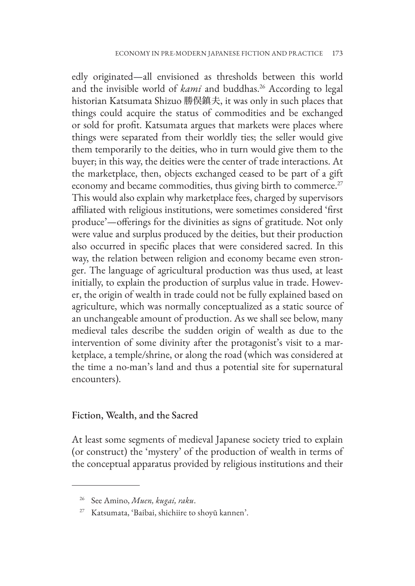edly originated—all envisioned as thresholds between this world and the invisible world of *kami* and buddhas.<sup>26</sup> According to legal historian Katsumata Shizuo 勝俣鎮夫, it was only in such places that things could acquire the status of commodities and be exchanged or sold for profit. Katsumata argues that markets were places where things were separated from their worldly ties; the seller would give them temporarily to the deities, who in turn would give them to the buyer; in this way, the deities were the center of trade interactions. At the marketplace, then, objects exchanged ceased to be part of a gift economy and became commodities, thus giving birth to commerce.<sup>27</sup> This would also explain why marketplace fees, charged by supervisors affiliated with religious institutions, were sometimes considered 'first produce'—offerings for the divinities as signs of gratitude. Not only were value and surplus produced by the deities, but their production also occurred in specific places that were considered sacred. In this way, the relation between religion and economy became even stronger. The language of agricultural production was thus used, at least initially, to explain the production of surplus value in trade. However, the origin of wealth in trade could not be fully explained based on agriculture, which was normally conceptualized as a static source of an unchangeable amount of production. As we shall see below, many medieval tales describe the sudden origin of wealth as due to the intervention of some divinity after the protagonist's visit to a marketplace, a temple/shrine, or along the road (which was considered at the time a no-man's land and thus a potential site for supernatural encounters).

#### Fiction, Wealth, and the Sacred

At least some segments of medieval Japanese society tried to explain (or construct) the 'mystery' of the production of wealth in terms of the conceptual apparatus provided by religious institutions and their

<sup>26</sup> See Amino, *Muen, kugai, raku*.

<sup>27</sup> Katsumata, 'Baibai, shichiire to shoyū kannen'.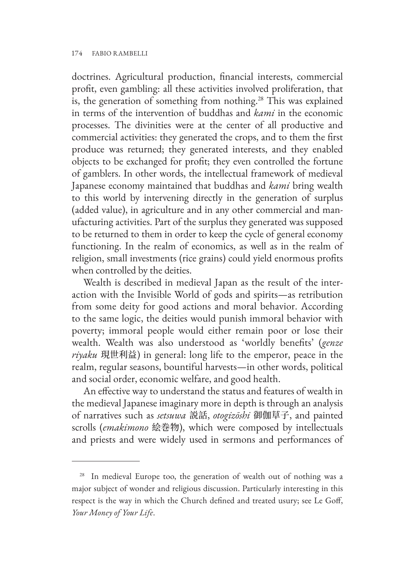doctrines. Agricultural production, financial interests, commercial profit, even gambling: all these activities involved proliferation, that is, the generation of something from nothing.<sup>28</sup> This was explained in terms of the intervention of buddhas and *kami* in the economic processes. The divinities were at the center of all productive and commercial activities: they generated the crops, and to them the first produce was returned; they generated interests, and they enabled objects to be exchanged for profit; they even controlled the fortune of gamblers. In other words, the intellectual framework of medieval Japanese economy maintained that buddhas and *kami* bring wealth to this world by intervening directly in the generation of surplus (added value), in agriculture and in any other commercial and manufacturing activities. Part of the surplus they generated was supposed to be returned to them in order to keep the cycle of general economy functioning. In the realm of economics, as well as in the realm of religion, small investments (rice grains) could yield enormous profits when controlled by the deities.

Wealth is described in medieval Japan as the result of the interaction with the Invisible World of gods and spirits—as retribution from some deity for good actions and moral behavior. According to the same logic, the deities would punish immoral behavior with poverty; immoral people would either remain poor or lose their wealth. Wealth was also understood as 'worldly benefits' (*genze riyaku* 現世利益) in general: long life to the emperor, peace in the realm, regular seasons, bountiful harvests—in other words, political and social order, economic welfare, and good health.

An effective way to understand the status and features of wealth in the medieval Japanese imaginary more in depth is through an analysis of narratives such as *setsuwa* 説話, *otogizōshi* 御伽草子, and painted scrolls (*emakimono* 絵巻物), which were composed by intellectuals and priests and were widely used in sermons and performances of

<sup>&</sup>lt;sup>28</sup> In medieval Europe too, the generation of wealth out of nothing was a major subject of wonder and religious discussion. Particularly interesting in this respect is the way in which the Church defined and treated usury; see Le Goff, *Your Money of Your Life*.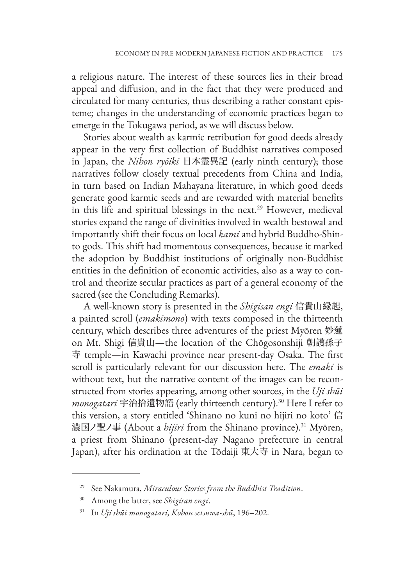a religious nature. The interest of these sources lies in their broad appeal and diffusion, and in the fact that they were produced and circulated for many centuries, thus describing a rather constant episteme; changes in the understanding of economic practices began to emerge in the Tokugawa period, as we will discuss below.

Stories about wealth as karmic retribution for good deeds already appear in the very first collection of Buddhist narratives composed in Japan, the *Nihon ryōiki* 日本霊異記 (early ninth century); those narratives follow closely textual precedents from China and India, in turn based on Indian Mahayana literature, in which good deeds generate good karmic seeds and are rewarded with material benefits in this life and spiritual blessings in the next.<sup>29</sup> However, medieval stories expand the range of divinities involved in wealth bestowal and importantly shift their focus on local *kami* and hybrid Buddho-Shinto gods. This shift had momentous consequences, because it marked the adoption by Buddhist institutions of originally non-Buddhist entities in the definition of economic activities, also as a way to control and theorize secular practices as part of a general economy of the sacred (see the Concluding Remarks).

A well-known story is presented in the *Shigisan engi* 信貴山縁起, a painted scroll (*emakimono*) with texts composed in the thirteenth century, which describes three adventures of the priest Myōren 妙蓮 on Mt. Shigi 信貴山—the location of the Chōgosonshiji 朝護孫子 寺 temple—in Kawachi province near present-day Osaka. The first scroll is particularly relevant for our discussion here. The *emaki* is without text, but the narrative content of the images can be reconstructed from stories appearing, among other sources, in the *Uji shūi monogatari* 宇治拾遺物語 (early thirteenth century).30 Here I refer to this version, a story entitled 'Shinano no kuni no hijiri no koto' 信 濃国ノ聖ノ事 (About a *hijiri* from the Shinano province).31 Myōren, a priest from Shinano (present-day Nagano prefecture in central Japan), after his ordination at the Tōdaiji 東大寺 in Nara, began to

<sup>29</sup> See Nakamura, *Miraculous Stories from the Buddhist Tradition*.

<sup>30</sup> Among the latter, see *Shigisan engi*.

<sup>31</sup> In *Uji shūi monogatari, Kohon setsuwa-shū*, 196–202.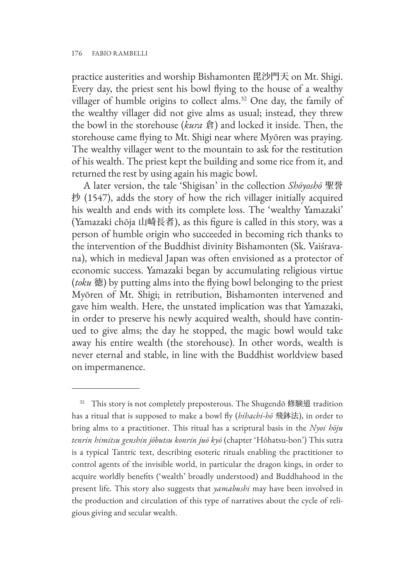practice austerities and worship Bishamonten 毘沙門天 on Mt. Shigi. Every day, the priest sent his bowl flying to the house of a wealthy villager of humble origins to collect alms.<sup>32</sup> One day, the family of the wealthy villager did not give alms as usual; instead, they threw the bowl in the storehouse (*kura* 倉) and locked it inside. Then, the storehouse came flying to Mt. Shigi near where Myōren was praying. The wealthy villager went to the mountain to ask for the restitution of his wealth. The priest kept the building and some rice from it, and returned the rest by using again his magic bowl.

A later version, the tale 'Shigisan' in the collection *Shōyoshō* 聖誉 抄 (1547), adds the story of how the rich villager initially acquired his wealth and ends with its complete loss. The 'wealthy Yamazaki' (Yamazaki chōja 山崎長者), as this figure is called in this story, was a person of humble origin who succeeded in becoming rich thanks to the intervention of the Buddhist divinity Bishamonten (Sk. Vaiśravana), which in medieval Japan was often envisioned as a protector of economic success. Yamazaki began by accumulating religious virtue (*toku* 徳) by putting alms into the flying bowl belonging to the priest Myōren of Mt. Shigi; in retribution, Bishamonten intervened and gave him wealth. Here, the unstated implication was that Yamazaki, in order to preserve his newly acquired wealth, should have continued to give alms; the day he stopped, the magic bowl would take away his entire wealth (the storehouse). In other words, wealth is never eternal and stable, in line with the Buddhist worldview based on impermanence.

<sup>&</sup>lt;sup>32</sup> This story is not completely preposterous. The Shugendō 修験道 tradition has a ritual that is supposed to make a bowl fly (*hihachi-hō* 飛鉢法), in order to bring alms to a practitioner. This ritual has a scriptural basis in the *Nyoi hōju tenrin himitsu genshin jōbutsu konrin juō kyō* (chapter 'Hōhatsu-bon') This sutra is a typical Tantric text, describing esoteric rituals enabling the practitioner to control agents of the invisible world, in particular the dragon kings, in order to acquire worldly benefits ('wealth' broadly understood) and Buddhahood in the present life. This story also suggests that *yamabushi* may have been involved in the production and circulation of this type of narratives about the cycle of religious giving and secular wealth.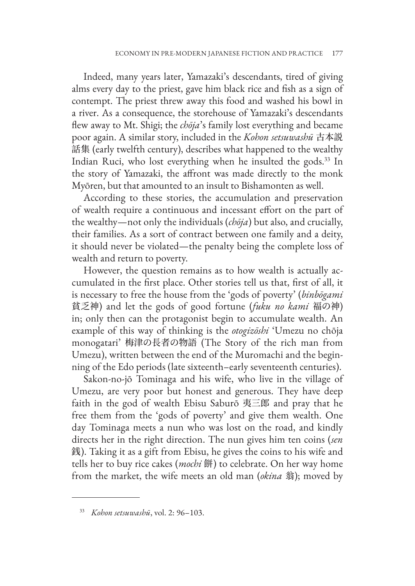Indeed, many years later, Yamazaki's descendants, tired of giving alms every day to the priest, gave him black rice and fish as a sign of contempt. The priest threw away this food and washed his bowl in a river. As a consequence, the storehouse of Yamazaki's descendants flew away to Mt. Shigi; the *chōja*'s family lost everything and became poor again. A similar story, included in the *Kohon setsuwashū* 古本説 話集 (early twelfth century), describes what happened to the wealthy Indian Ruci, who lost everything when he insulted the gods.33 In the story of Yamazaki, the affront was made directly to the monk Myōren, but that amounted to an insult to Bishamonten as well.

According to these stories, the accumulation and preservation of wealth require a continuous and incessant effort on the part of the wealthy—not only the individuals (*chōja*) but also, and crucially, their families. As a sort of contract between one family and a deity, it should never be violated—the penalty being the complete loss of wealth and return to poverty.

However, the question remains as to how wealth is actually accumulated in the first place. Other stories tell us that, first of all, it is necessary to free the house from the 'gods of poverty' (*binbōgami* 貧乏神) and let the gods of good fortune (*fuku no kami* 福の神) in; only then can the protagonist begin to accumulate wealth. An example of this way of thinking is the *otogizōshi* 'Umezu no chōja monogatari' 梅津の長者の物語 (The Story of the rich man from Umezu), written between the end of the Muromachi and the beginning of the Edo periods (late sixteenth–early seventeenth centuries).

Sakon-no-jō Tominaga and his wife, who live in the village of Umezu, are very poor but honest and generous. They have deep faith in the god of wealth Ebisu Saburō 夷三郎 and pray that he free them from the 'gods of poverty' and give them wealth. One day Tominaga meets a nun who was lost on the road, and kindly directs her in the right direction. The nun gives him ten coins (*sen* 銭). Taking it as a gift from Ebisu, he gives the coins to his wife and tells her to buy rice cakes (*mochi* 餅) to celebrate. On her way home from the market, the wife meets an old man (*okina* 翁); moved by

<sup>33</sup> *Kohon setsuwashū*, vol. 2: 96–103.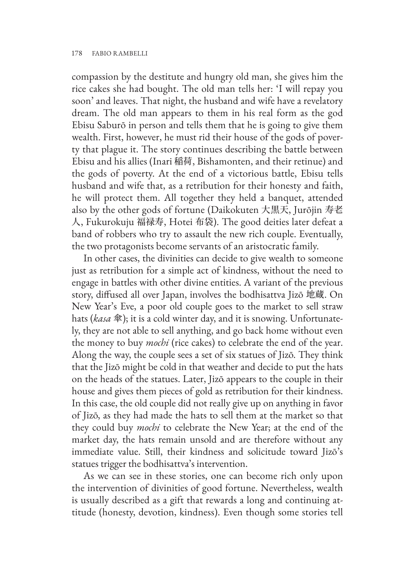compassion by the destitute and hungry old man, she gives him the rice cakes she had bought. The old man tells her: 'I will repay you soon' and leaves. That night, the husband and wife have a revelatory dream. The old man appears to them in his real form as the god Ebisu Saburō in person and tells them that he is going to give them wealth. First, however, he must rid their house of the gods of poverty that plague it. The story continues describing the battle between Ebisu and his allies (Inari 稲荷, Bishamonten, and their retinue) and the gods of poverty. At the end of a victorious battle, Ebisu tells husband and wife that, as a retribution for their honesty and faith, he will protect them. All together they held a banquet, attended also by the other gods of fortune (Daikokuten 大黒天, Jurōjin 寿老 人, Fukurokuju 福禄寿, Hotei 布袋). The good deities later defeat a band of robbers who try to assault the new rich couple. Eventually, the two protagonists become servants of an aristocratic family.

In other cases, the divinities can decide to give wealth to someone just as retribution for a simple act of kindness, without the need to engage in battles with other divine entities. A variant of the previous story, diffused all over Japan, involves the bodhisattva Jizō 地蔵. On New Year's Eve, a poor old couple goes to the market to sell straw hats (*kasa* 傘); it is a cold winter day, and it is snowing. Unfortunately, they are not able to sell anything, and go back home without even the money to buy *mochi* (rice cakes) to celebrate the end of the year. Along the way, the couple sees a set of six statues of Jizō. They think that the Jizō might be cold in that weather and decide to put the hats on the heads of the statues. Later, Jizō appears to the couple in their house and gives them pieces of gold as retribution for their kindness. In this case, the old couple did not really give up on anything in favor of Jizō, as they had made the hats to sell them at the market so that they could buy *mochi* to celebrate the New Year; at the end of the market day, the hats remain unsold and are therefore without any immediate value. Still, their kindness and solicitude toward Jizō's statues trigger the bodhisattva's intervention.

As we can see in these stories, one can become rich only upon the intervention of divinities of good fortune. Nevertheless, wealth is usually described as a gift that rewards a long and continuing attitude (honesty, devotion, kindness). Even though some stories tell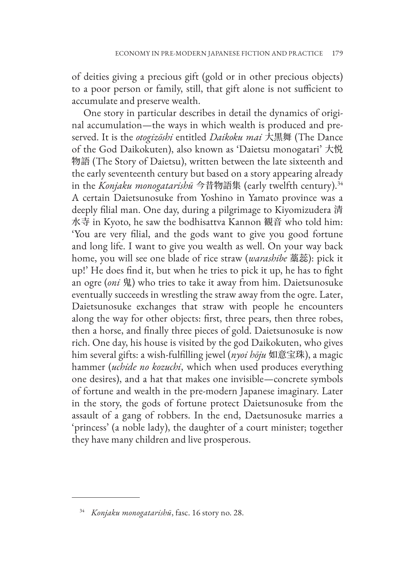of deities giving a precious gift (gold or in other precious objects) to a poor person or family, still, that gift alone is not sufficient to accumulate and preserve wealth.

One story in particular describes in detail the dynamics of original accumulation—the ways in which wealth is produced and preserved. It is the *otogizōshi* entitled *Daikoku mai* 大黒舞 (The Dance of the God Daikokuten), also known as 'Daietsu monogatari' 大悦 物語 (The Story of Daietsu), written between the late sixteenth and the early seventeenth century but based on a story appearing already in the *Konjaku monogatarishū* 今昔物語集 (early twelfth century).34 A certain Daietsunosuke from Yoshino in Yamato province was a deeply filial man. One day, during a pilgrimage to Kiyomizudera 清 水寺 in Kyoto, he saw the bodhisattva Kannon 観音 who told him: 'You are very filial, and the gods want to give you good fortune and long life. I want to give you wealth as well. On your way back home, you will see one blade of rice straw (*warashibe* 藁蕊): pick it up!' He does find it, but when he tries to pick it up, he has to fight an ogre (*oni* 鬼) who tries to take it away from him. Daietsunosuke eventually succeeds in wrestling the straw away from the ogre. Later, Daietsunosuke exchanges that straw with people he encounters along the way for other objects: first, three pears, then three robes, then a horse, and finally three pieces of gold. Daietsunosuke is now rich. One day, his house is visited by the god Daikokuten, who gives him several gifts: a wish-fulfilling jewel (*nyoi hōju* 如意宝珠), a magic hammer (*uchide no kozuchi*, which when used produces everything one desires), and a hat that makes one invisible—concrete symbols of fortune and wealth in the pre-modern Japanese imaginary. Later in the story, the gods of fortune protect Daietsunosuke from the assault of a gang of robbers. In the end, Daetsunosuke marries a 'princess' (a noble lady), the daughter of a court minister; together they have many children and live prosperous.

<sup>34</sup> *Konjaku monogatarishū*, fasc. 16 story no. 28.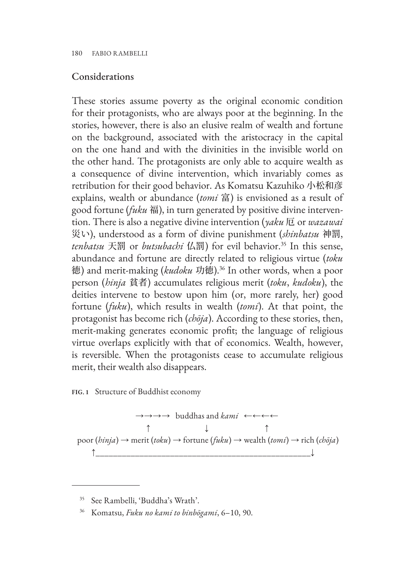#### Considerations

These stories assume poverty as the original economic condition for their protagonists, who are always poor at the beginning. In the stories, however, there is also an elusive realm of wealth and fortune on the background, associated with the aristocracy in the capital on the one hand and with the divinities in the invisible world on the other hand. The protagonists are only able to acquire wealth as a consequence of divine intervention, which invariably comes as retribution for their good behavior. As Komatsu Kazuhiko 小松和彦 explains, wealth or abundance (*tomi* 富) is envisioned as a result of good fortune (*fuku* 福), in turn generated by positive divine intervention. There is also a negative divine intervention (*yaku* 厄 or *wazawai* 災い), understood as a form of divine punishment (*shinbatsu* 神罰, *tenbatsu* 天罰 or *butsubachi* 仏罰) for evil behavior.35 In this sense, abundance and fortune are directly related to religious virtue (*toku* 徳) and merit-making (*kudoku* 功徳).36 In other words, when a poor person (*hinja* 貧者) accumulates religious merit (*toku*, *kudoku*), the deities intervene to bestow upon him (or, more rarely, her) good fortune (*fuku*), which results in wealth (*tomi*). At that point, the protagonist has become rich (*chōja*). According to these stories, then, merit-making generates economic profit; the language of religious virtue overlaps explicitly with that of economics. Wealth, however, is reversible. When the protagonists cease to accumulate religious merit, their wealth also disappears.

**FIG. 1** Structure of Buddhist economy

$$
\rightarrow \rightarrow \rightarrow \rightarrow \rightarrow
$$
 buddhas and *kami*  $\leftarrow \leftarrow \leftarrow$   
\n
$$
\uparrow \qquad \qquad \uparrow
$$
  
\n
$$
\uparrow \qquad \qquad \uparrow
$$
  
\n
$$
\uparrow \qquad \qquad \uparrow
$$
  
\n
$$
\uparrow
$$
  
\n
$$
\uparrow
$$
  
\n
$$
\uparrow
$$
  
\n
$$
\uparrow
$$
  
\n
$$
\uparrow
$$
  
\n
$$
\uparrow
$$
  
\n
$$
\uparrow
$$
  
\n
$$
\uparrow
$$
  
\n
$$
\uparrow
$$
  
\n
$$
\uparrow
$$
  
\n
$$
\uparrow
$$
  
\n
$$
\uparrow
$$
  
\n
$$
\uparrow
$$
  
\n
$$
\uparrow
$$
  
\n
$$
\uparrow
$$
  
\n
$$
\uparrow
$$
  
\n
$$
\uparrow
$$
  
\n
$$
\uparrow
$$
  
\n
$$
\uparrow
$$
  
\n
$$
\uparrow
$$
  
\n
$$
\uparrow
$$
  
\n
$$
\uparrow
$$
  
\n
$$
\uparrow
$$
  
\n
$$
\uparrow
$$
  
\n
$$
\uparrow
$$
  
\n
$$
\uparrow
$$
  
\n
$$
\downarrow
$$
  
\n
$$
\downarrow
$$

<sup>35</sup> See Rambelli, 'Buddha's Wrath'.

<sup>36</sup> Komatsu, *Fuku no kami to binbōgami*, 6–10, 90.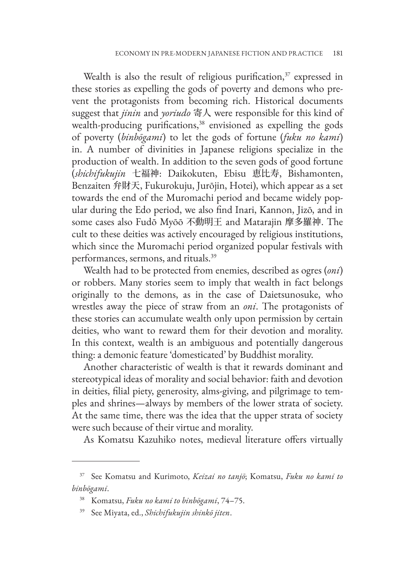Wealth is also the result of religious purification, $37$  expressed in these stories as expelling the gods of poverty and demons who prevent the protagonists from becoming rich. Historical documents suggest that *jinin* and *yoriudo* 寄人 were responsible for this kind of wealth-producing purifications,<sup>38</sup> envisioned as expelling the gods of poverty (*binbōgami*) to let the gods of fortune (*fuku no kami*) in. A number of divinities in Japanese religions specialize in the production of wealth. In addition to the seven gods of good fortune (*shichifukujin* 七福神: Daikokuten, Ebisu 恵比寿, Bishamonten, Benzaiten 弁財天, Fukurokuju, Jurōjin, Hotei), which appear as a set towards the end of the Muromachi period and became widely popular during the Edo period, we also find Inari, Kannon, Jizō, and in some cases also Fudō Myōō 不動明王 and Matarajin 摩多羅神. The cult to these deities was actively encouraged by religious institutions, which since the Muromachi period organized popular festivals with performances, sermons, and rituals.39

Wealth had to be protected from enemies, described as ogres (*oni*) or robbers. Many stories seem to imply that wealth in fact belongs originally to the demons, as in the case of Daietsunosuke, who wrestles away the piece of straw from an *oni*. The protagonists of these stories can accumulate wealth only upon permission by certain deities, who want to reward them for their devotion and morality. In this context, wealth is an ambiguous and potentially dangerous thing: a demonic feature 'domesticated' by Buddhist morality.

Another characteristic of wealth is that it rewards dominant and stereotypical ideas of morality and social behavior: faith and devotion in deities, filial piety, generosity, alms-giving, and pilgrimage to temples and shrines—always by members of the lower strata of society. At the same time, there was the idea that the upper strata of society were such because of their virtue and morality.

As Komatsu Kazuhiko notes, medieval literature offers virtually

<sup>37</sup> See Komatsu and Kurimoto, *Keizai no tanjō*; Komatsu, *Fuku no kami to binbōgami*.

<sup>38</sup> Komatsu, *Fuku no kami to binbōgami*, 74–75.

<sup>39</sup> See Miyata, ed., *Shichifukujin shinkō jiten*.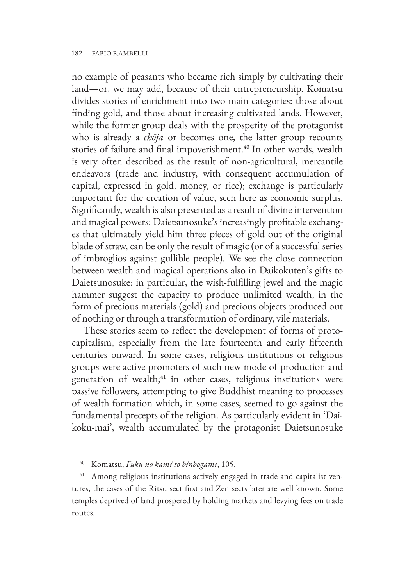no example of peasants who became rich simply by cultivating their land—or, we may add, because of their entrepreneurship. Komatsu divides stories of enrichment into two main categories: those about finding gold, and those about increasing cultivated lands. However, while the former group deals with the prosperity of the protagonist who is already a *chōja* or becomes one, the latter group recounts stories of failure and final impoverishment.<sup>40</sup> In other words, wealth is very often described as the result of non-agricultural, mercantile endeavors (trade and industry, with consequent accumulation of capital, expressed in gold, money, or rice); exchange is particularly important for the creation of value, seen here as economic surplus. Significantly, wealth is also presented as a result of divine intervention and magical powers: Daietsunosuke's increasingly profitable exchanges that ultimately yield him three pieces of gold out of the original blade of straw, can be only the result of magic (or of a successful series of imbroglios against gullible people). We see the close connection between wealth and magical operations also in Daikokuten's gifts to Daietsunosuke: in particular, the wish-fulfilling jewel and the magic hammer suggest the capacity to produce unlimited wealth, in the form of precious materials (gold) and precious objects produced out of nothing or through a transformation of ordinary, vile materials.

These stories seem to reflect the development of forms of protocapitalism, especially from the late fourteenth and early fifteenth centuries onward. In some cases, religious institutions or religious groups were active promoters of such new mode of production and generation of wealth;<sup>41</sup> in other cases, religious institutions were passive followers, attempting to give Buddhist meaning to processes of wealth formation which, in some cases, seemed to go against the fundamental precepts of the religion. As particularly evident in 'Daikoku-mai', wealth accumulated by the protagonist Daietsunosuke

<sup>40</sup> Komatsu, *Fuku no kami to binbōgami*, 105.

<sup>&</sup>lt;sup>41</sup> Among religious institutions actively engaged in trade and capitalist ventures, the cases of the Ritsu sect first and Zen sects later are well known. Some temples deprived of land prospered by holding markets and levying fees on trade routes.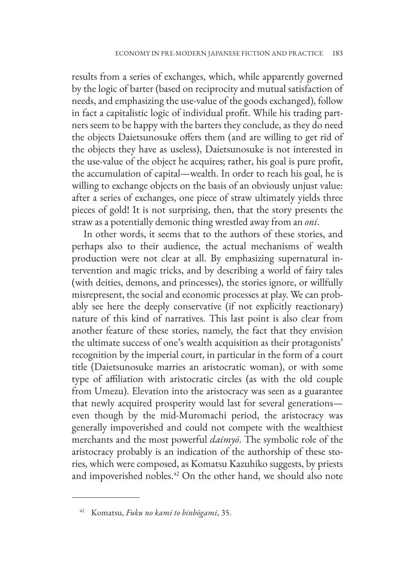results from a series of exchanges, which, while apparently governed by the logic of barter (based on reciprocity and mutual satisfaction of needs, and emphasizing the use-value of the goods exchanged), follow in fact a capitalistic logic of individual profit. While his trading partners seem to be happy with the barters they conclude, as they do need the objects Daietsunosuke offers them (and are willing to get rid of the objects they have as useless), Daietsunosuke is not interested in the use-value of the object he acquires; rather, his goal is pure profit, the accumulation of capital—wealth. In order to reach his goal, he is willing to exchange objects on the basis of an obviously unjust value: after a series of exchanges, one piece of straw ultimately yields three pieces of gold! It is not surprising, then, that the story presents the straw as a potentially demonic thing wrestled away from an *oni*.

In other words, it seems that to the authors of these stories, and perhaps also to their audience, the actual mechanisms of wealth production were not clear at all. By emphasizing supernatural intervention and magic tricks, and by describing a world of fairy tales (with deities, demons, and princesses), the stories ignore, or willfully misrepresent, the social and economic processes at play. We can probably see here the deeply conservative (if not explicitly reactionary) nature of this kind of narratives. This last point is also clear from another feature of these stories, namely, the fact that they envision the ultimate success of one's wealth acquisition as their protagonists' recognition by the imperial court, in particular in the form of a court title (Daietsunosuke marries an aristocratic woman), or with some type of affiliation with aristocratic circles (as with the old couple from Umezu). Elevation into the aristocracy was seen as a guarantee that newly acquired prosperity would last for several generations even though by the mid-Muromachi period, the aristocracy was generally impoverished and could not compete with the wealthiest merchants and the most powerful *daimyō*. The symbolic role of the aristocracy probably is an indication of the authorship of these stories, which were composed, as Komatsu Kazuhiko suggests, by priests and impoverished nobles.<sup>42</sup> On the other hand, we should also note

<sup>42</sup> Komatsu, *Fuku no kami to binbōgami*, 35.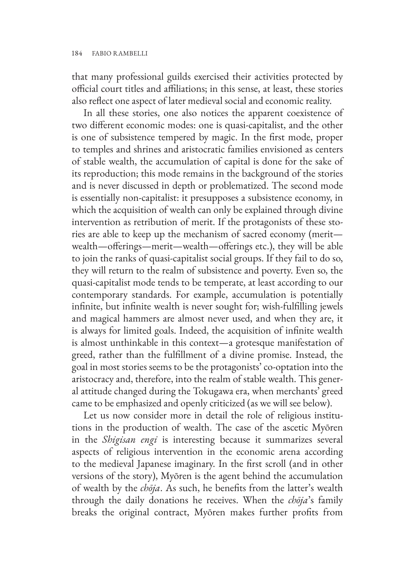that many professional guilds exercised their activities protected by official court titles and affiliations; in this sense, at least, these stories also reflect one aspect of later medieval social and economic reality.

In all these stories, one also notices the apparent coexistence of two different economic modes: one is quasi-capitalist, and the other is one of subsistence tempered by magic. In the first mode, proper to temples and shrines and aristocratic families envisioned as centers of stable wealth, the accumulation of capital is done for the sake of its reproduction; this mode remains in the background of the stories and is never discussed in depth or problematized. The second mode is essentially non-capitalist: it presupposes a subsistence economy, in which the acquisition of wealth can only be explained through divine intervention as retribution of merit. If the protagonists of these stories are able to keep up the mechanism of sacred economy (merit wealth—offerings—merit—wealth—offerings etc.), they will be able to join the ranks of quasi-capitalist social groups. If they fail to do so, they will return to the realm of subsistence and poverty. Even so, the quasi-capitalist mode tends to be temperate, at least according to our contemporary standards. For example, accumulation is potentially infinite, but infinite wealth is never sought for; wish-fulfilling jewels and magical hammers are almost never used, and when they are, it is always for limited goals. Indeed, the acquisition of infinite wealth is almost unthinkable in this context—a grotesque manifestation of greed, rather than the fulfillment of a divine promise. Instead, the goal in most stories seems to be the protagonists' co-optation into the aristocracy and, therefore, into the realm of stable wealth. This general attitude changed during the Tokugawa era, when merchants' greed came to be emphasized and openly criticized (as we will see below).

Let us now consider more in detail the role of religious institutions in the production of wealth. The case of the ascetic Myōren in the *Shigisan engi* is interesting because it summarizes several aspects of religious intervention in the economic arena according to the medieval Japanese imaginary. In the first scroll (and in other versions of the story), Myōren is the agent behind the accumulation of wealth by the *chōja*. As such, he benefits from the latter's wealth through the daily donations he receives. When the *chōja*'s family breaks the original contract, Myōren makes further profits from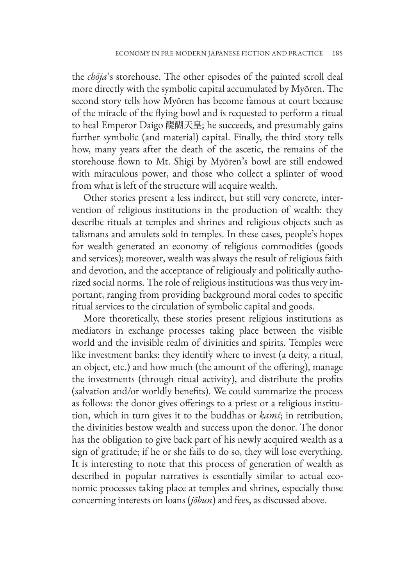the *chōja*'s storehouse. The other episodes of the painted scroll deal more directly with the symbolic capital accumulated by Myōren. The second story tells how Myōren has become famous at court because of the miracle of the flying bowl and is requested to perform a ritual to heal Emperor Daigo 醍醐天皇; he succeeds, and presumably gains further symbolic (and material) capital. Finally, the third story tells how, many years after the death of the ascetic, the remains of the storehouse flown to Mt. Shigi by Myōren's bowl are still endowed with miraculous power, and those who collect a splinter of wood from what is left of the structure will acquire wealth.

Other stories present a less indirect, but still very concrete, intervention of religious institutions in the production of wealth: they describe rituals at temples and shrines and religious objects such as talismans and amulets sold in temples. In these cases, people's hopes for wealth generated an economy of religious commodities (goods and services); moreover, wealth was always the result of religious faith and devotion, and the acceptance of religiously and politically authorized social norms. The role of religious institutions was thus very important, ranging from providing background moral codes to specific ritual services to the circulation of symbolic capital and goods.

More theoretically, these stories present religious institutions as mediators in exchange processes taking place between the visible world and the invisible realm of divinities and spirits. Temples were like investment banks: they identify where to invest (a deity, a ritual, an object, etc.) and how much (the amount of the offering), manage the investments (through ritual activity), and distribute the profits (salvation and/or worldly benefits). We could summarize the process as follows: the donor gives offerings to a priest or a religious institution, which in turn gives it to the buddhas or *kami*; in retribution, the divinities bestow wealth and success upon the donor. The donor has the obligation to give back part of his newly acquired wealth as a sign of gratitude; if he or she fails to do so, they will lose everything. It is interesting to note that this process of generation of wealth as described in popular narratives is essentially similar to actual economic processes taking place at temples and shrines, especially those concerning interests on loans (*jōbun*) and fees, as discussed above.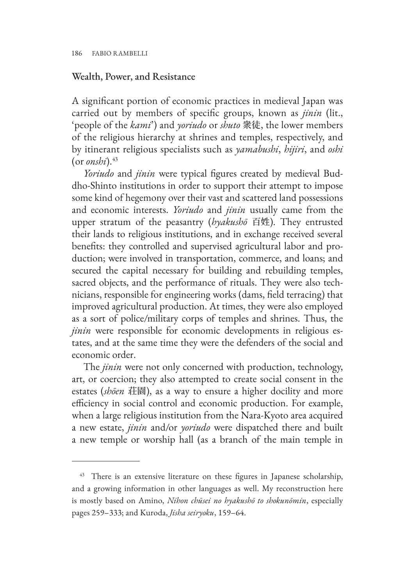#### Wealth, Power, and Resistance

A significant portion of economic practices in medieval Japan was carried out by members of specific groups, known as *jinin* (lit., 'people of the *kami*') and *yoriudo* or *shuto* 衆徒, the lower members of the religious hierarchy at shrines and temples, respectively, and by itinerant religious specialists such as *yamabushi*, *hijiri*, and *oshi*  $($ or *onshi* $).$ <sup>43</sup>

*Yoriudo* and *jinin* were typical figures created by medieval Buddho-Shinto institutions in order to support their attempt to impose some kind of hegemony over their vast and scattered land possessions and economic interests. *Yoriudo* and *jinin* usually came from the upper stratum of the peasantry (*hyakushō* 百姓). They entrusted their lands to religious institutions, and in exchange received several benefits: they controlled and supervised agricultural labor and production; were involved in transportation, commerce, and loans; and secured the capital necessary for building and rebuilding temples, sacred objects, and the performance of rituals. They were also technicians, responsible for engineering works (dams, field terracing) that improved agricultural production. At times, they were also employed as a sort of police/military corps of temples and shrines. Thus, the *jinin* were responsible for economic developments in religious estates, and at the same time they were the defenders of the social and economic order.

The *jinin* were not only concerned with production, technology, art, or coercion; they also attempted to create social consent in the estates (*shōen* 荘園), as a way to ensure a higher docility and more efficiency in social control and economic production. For example, when a large religious institution from the Nara-Kyoto area acquired a new estate, *jinin* and/or *yoriudo* were dispatched there and built a new temple or worship hall (as a branch of the main temple in

<sup>&</sup>lt;sup>43</sup> There is an extensive literature on these figures in Japanese scholarship, and a growing information in other languages as well. My reconstruction here is mostly based on Amino, *Nihon chūsei no hyakushō to shokunōmin*, especially pages 259–333; and Kuroda, *Jisha seiryoku*, 159–64.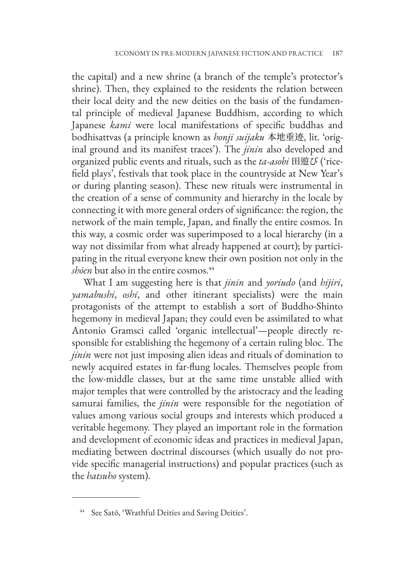the capital) and a new shrine (a branch of the temple's protector's shrine). Then, they explained to the residents the relation between their local deity and the new deities on the basis of the fundamental principle of medieval Japanese Buddhism, according to which Japanese *kami* were local manifestations of specific buddhas and bodhisattvas (a principle known as *honji suijaku* 本地垂迹, lit. 'original ground and its manifest traces'). The *jinin* also developed and organized public events and rituals, such as the *ta-asobi* 田遊び ('ricefield plays', festivals that took place in the countryside at New Year's or during planting season). These new rituals were instrumental in the creation of a sense of community and hierarchy in the locale by connecting it with more general orders of significance: the region, the network of the main temple, Japan, and finally the entire cosmos. In this way, a cosmic order was superimposed to a local hierarchy (in a way not dissimilar from what already happened at court); by participating in the ritual everyone knew their own position not only in the *shōen* but also in the entire cosmos.<sup>44</sup>

What I am suggesting here is that *jinin* and *yoriudo* (and *hijiri*, *yamabushi*, *oshi*, and other itinerant specialists) were the main protagonists of the attempt to establish a sort of Buddho-Shinto hegemony in medieval Japan; they could even be assimilated to what Antonio Gramsci called 'organic intellectual'—people directly responsible for establishing the hegemony of a certain ruling bloc. The *jinin* were not just imposing alien ideas and rituals of domination to newly acquired estates in far-flung locales. Themselves people from the low-middle classes, but at the same time unstable allied with major temples that were controlled by the aristocracy and the leading samurai families, the *jinin* were responsible for the negotiation of values among various social groups and interests which produced a veritable hegemony. They played an important role in the formation and development of economic ideas and practices in medieval Japan, mediating between doctrinal discourses (which usually do not provide specific managerial instructions) and popular practices (such as the *hatsuho* system).

<sup>44</sup> See Satō, 'Wrathful Deities and Saving Deities'.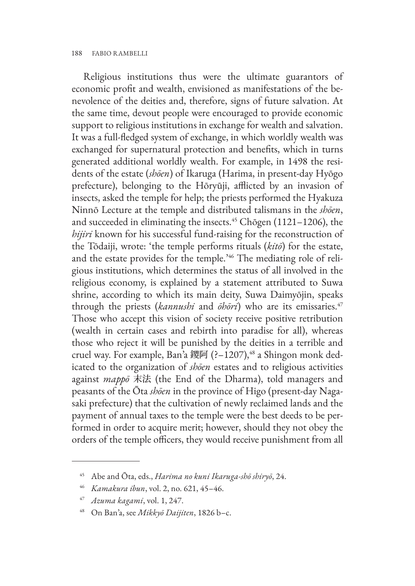Religious institutions thus were the ultimate guarantors of economic profit and wealth, envisioned as manifestations of the benevolence of the deities and, therefore, signs of future salvation. At the same time, devout people were encouraged to provide economic support to religious institutions in exchange for wealth and salvation. It was a full-fledged system of exchange, in which worldly wealth was exchanged for supernatural protection and benefits, which in turns generated additional worldly wealth. For example, in 1498 the residents of the estate (*shōen*) of Ikaruga (Harima, in present-day Hyōgo prefecture), belonging to the Hōryūji, afflicted by an invasion of insects, asked the temple for help; the priests performed the Hyakuza Ninnō Lecture at the temple and distributed talismans in the *shōen*, and succeeded in eliminating the insects.<sup>45</sup> Chōgen (1121-1206), the *hijiri* known for his successful fund-raising for the reconstruction of the Tōdaiji, wrote: 'the temple performs rituals (*kitō*) for the estate, and the estate provides for the temple.'46 The mediating role of religious institutions, which determines the status of all involved in the religious economy, is explained by a statement attributed to Suwa shrine, according to which its main deity, Suwa Daimyōjin, speaks through the priests (*kannushi* and *ōhōri*) who are its emissaries.<sup>47</sup> Those who accept this vision of society receive positive retribution (wealth in certain cases and rebirth into paradise for all), whereas those who reject it will be punished by the deities in a terrible and cruel way. For example, Ban'a 鑁阿 (?-1207),<sup>48</sup> a Shingon monk dedicated to the organization of *shōen* estates and to religious activities against *mappō* 末法 (the End of the Dharma), told managers and peasants of the Ōta *shōen* in the province of Higo (present-day Nagasaki prefecture) that the cultivation of newly reclaimed lands and the payment of annual taxes to the temple were the best deeds to be performed in order to acquire merit; however, should they not obey the orders of the temple officers, they would receive punishment from all

<sup>45</sup> Abe and Ōta, eds., *Harima no kuni Ikaruga-shō shiryō*, 24.

<sup>46</sup> *Kamakura ibun*, vol. 2, no. 621, 45–46.

<sup>47</sup> *Azuma kagami*, vol. 1, 247.

<sup>48</sup> On Ban'a, see *Mikkyō Daijiten*, 1826 b–c.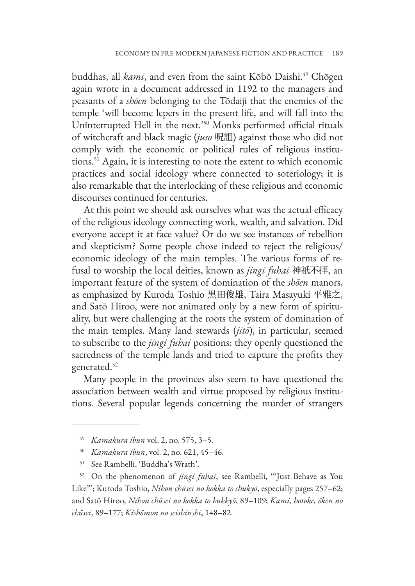buddhas, all *kami*, and even from the saint Kōbō Daishi.<sup>49</sup> Chōgen again wrote in a document addressed in 1192 to the managers and peasants of a *shōen* belonging to the Tōdaiji that the enemies of the temple 'will become lepers in the present life, and will fall into the Uninterrupted Hell in the next.'50 Monks performed official rituals of witchcraft and black magic (*juso* 呪詛) against those who did not comply with the economic or political rules of religious institutions.51 Again, it is interesting to note the extent to which economic practices and social ideology where connected to soteriology; it is also remarkable that the interlocking of these religious and economic discourses continued for centuries.

At this point we should ask ourselves what was the actual efficacy of the religious ideology connecting work, wealth, and salvation. Did everyone accept it at face value? Or do we see instances of rebellion and skepticism? Some people chose indeed to reject the religious/ economic ideology of the main temples. The various forms of refusal to worship the local deities, known as *jingi fuhai* 神祇不拝, an important feature of the system of domination of the *shōen* manors, as emphasized by Kuroda Toshio 黒田俊雄, Taira Masayuki 平雅之, and Satō Hiroo, were not animated only by a new form of spirituality, but were challenging at the roots the system of domination of the main temples. Many land stewards (*jitō*), in particular, seemed to subscribe to the *jingi fuhai* positions: they openly questioned the sacredness of the temple lands and tried to capture the profits they generated.<sup>52</sup>

Many people in the provinces also seem to have questioned the association between wealth and virtue proposed by religious institutions. Several popular legends concerning the murder of strangers

<sup>49</sup> *Kamakura ibun* vol. 2, no. 575, 3–5.

<sup>50</sup> *Kamakura ibun*, vol. 2, no. 621, 45–46.

<sup>51</sup> See Rambelli, 'Buddha's Wrath'.

<sup>52</sup> On the phenomenon of *jingi fuhai*, see Rambelli, '"Just Behave as You Like"'; Kuroda Toshio, *Nihon chūsei no kokka to shūkyō*, especially pages 257–62; and Satō Hiroo, *Nihon chūsei no kokka to bukkyō*, 89–109; *Kami, hotoke, ōken no chūsei*, 89–177; *Kishōmon no seishinshi*, 148–82.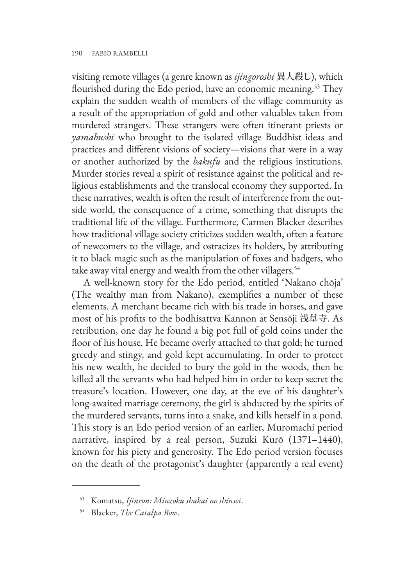visiting remote villages (a genre known as *ijingoroshi* 異人殺し), which flourished during the Edo period, have an economic meaning.<sup>53</sup> They explain the sudden wealth of members of the village community as a result of the appropriation of gold and other valuables taken from murdered strangers. These strangers were often itinerant priests or *yamabushi* who brought to the isolated village Buddhist ideas and practices and different visions of society—visions that were in a way or another authorized by the *bakufu* and the religious institutions. Murder stories reveal a spirit of resistance against the political and religious establishments and the translocal economy they supported. In these narratives, wealth is often the result of interference from the outside world, the consequence of a crime, something that disrupts the traditional life of the village. Furthermore, Carmen Blacker describes how traditional village society criticizes sudden wealth, often a feature of newcomers to the village, and ostracizes its holders, by attributing it to black magic such as the manipulation of foxes and badgers, who take away vital energy and wealth from the other villagers.<sup>54</sup>

A well-known story for the Edo period, entitled 'Nakano chōja' (The wealthy man from Nakano), exemplifies a number of these elements. A merchant became rich with his trade in horses, and gave most of his profits to the bodhisattva Kannon at Sensōji 浅草寺. As retribution, one day he found a big pot full of gold coins under the floor of his house. He became overly attached to that gold; he turned greedy and stingy, and gold kept accumulating. In order to protect his new wealth, he decided to bury the gold in the woods, then he killed all the servants who had helped him in order to keep secret the treasure's location. However, one day, at the eve of his daughter's long-awaited marriage ceremony, the girl is abducted by the spirits of the murdered servants, turns into a snake, and kills herself in a pond. This story is an Edo period version of an earlier, Muromachi period narrative, inspired by a real person, Suzuki Kurō (1371–1440), known for his piety and generosity. The Edo period version focuses on the death of the protagonist's daughter (apparently a real event)

<sup>53</sup> Komatsu, *Ijinron: Minzoku shakai no shinsei*.

<sup>54</sup> Blacker, *The Catalpa Bow*.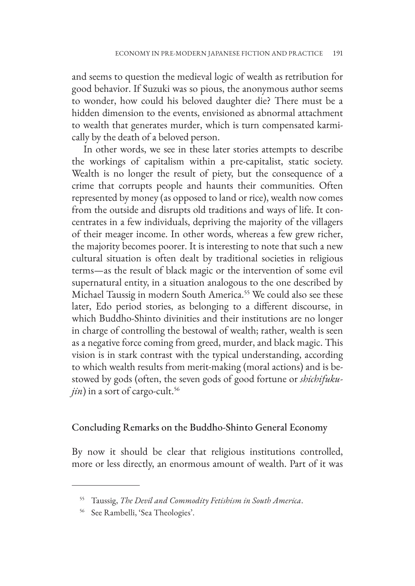and seems to question the medieval logic of wealth as retribution for good behavior. If Suzuki was so pious, the anonymous author seems to wonder, how could his beloved daughter die? There must be a hidden dimension to the events, envisioned as abnormal attachment to wealth that generates murder, which is turn compensated karmically by the death of a beloved person.

In other words, we see in these later stories attempts to describe the workings of capitalism within a pre-capitalist, static society. Wealth is no longer the result of piety, but the consequence of a crime that corrupts people and haunts their communities. Often represented by money (as opposed to land or rice), wealth now comes from the outside and disrupts old traditions and ways of life. It concentrates in a few individuals, depriving the majority of the villagers of their meager income. In other words, whereas a few grew richer, the majority becomes poorer. It is interesting to note that such a new cultural situation is often dealt by traditional societies in religious terms—as the result of black magic or the intervention of some evil supernatural entity, in a situation analogous to the one described by Michael Taussig in modern South America.55 We could also see these later, Edo period stories, as belonging to a different discourse, in which Buddho-Shinto divinities and their institutions are no longer in charge of controlling the bestowal of wealth; rather, wealth is seen as a negative force coming from greed, murder, and black magic. This vision is in stark contrast with the typical understanding, according to which wealth results from merit-making (moral actions) and is bestowed by gods (often, the seven gods of good fortune or *shichifuku* $j$ *in*) in a sort of cargo-cult.<sup>56</sup>

#### Concluding Remarks on the Buddho-Shinto General Economy

By now it should be clear that religious institutions controlled, more or less directly, an enormous amount of wealth. Part of it was

<sup>55</sup> Taussig, *The Devil and Commodity Fetishism in South America*.

<sup>56</sup> See Rambelli, 'Sea Theologies'.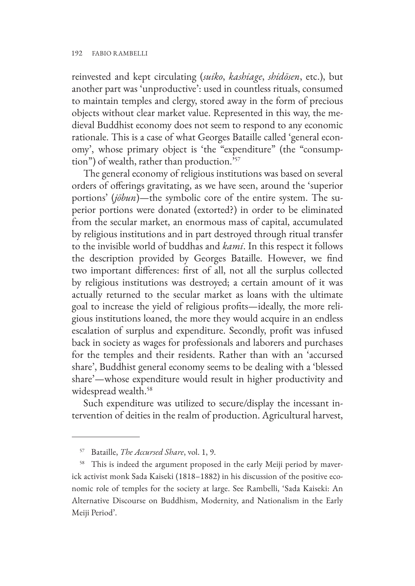reinvested and kept circulating (*suiko*, *kashiage*, *shidōsen*, etc.), but another part was 'unproductive': used in countless rituals, consumed to maintain temples and clergy, stored away in the form of precious objects without clear market value. Represented in this way, the medieval Buddhist economy does not seem to respond to any economic rationale. This is a case of what Georges Bataille called 'general economy', whose primary object is 'the "expenditure" (the "consumption") of wealth, rather than production.'57

The general economy of religious institutions was based on several orders of offerings gravitating, as we have seen, around the 'superior portions' (*jōbun*)—the symbolic core of the entire system. The superior portions were donated (extorted?) in order to be eliminated from the secular market, an enormous mass of capital, accumulated by religious institutions and in part destroyed through ritual transfer to the invisible world of buddhas and *kami*. In this respect it follows the description provided by Georges Bataille. However, we find two important differences: first of all, not all the surplus collected by religious institutions was destroyed; a certain amount of it was actually returned to the secular market as loans with the ultimate goal to increase the yield of religious profits—ideally, the more religious institutions loaned, the more they would acquire in an endless escalation of surplus and expenditure. Secondly, profit was infused back in society as wages for professionals and laborers and purchases for the temples and their residents. Rather than with an 'accursed share', Buddhist general economy seems to be dealing with a 'blessed share'—whose expenditure would result in higher productivity and widespread wealth.<sup>58</sup>

Such expenditure was utilized to secure/display the incessant intervention of deities in the realm of production. Agricultural harvest,

<sup>57</sup> Bataille, *The Accursed Share*, vol. 1, 9.

<sup>&</sup>lt;sup>58</sup> This is indeed the argument proposed in the early Meiji period by maverick activist monk Sada Kaiseki (1818–1882) in his discussion of the positive economic role of temples for the society at large. See Rambelli, 'Sada Kaiseki: An Alternative Discourse on Buddhism, Modernity, and Nationalism in the Early Meiji Period'.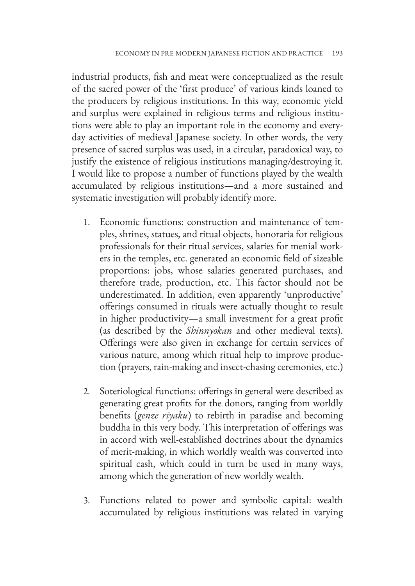industrial products, fish and meat were conceptualized as the result of the sacred power of the 'first produce' of various kinds loaned to the producers by religious institutions. In this way, economic yield and surplus were explained in religious terms and religious institutions were able to play an important role in the economy and everyday activities of medieval Japanese society. In other words, the very presence of sacred surplus was used, in a circular, paradoxical way, to justify the existence of religious institutions managing/destroying it. I would like to propose a number of functions played by the wealth accumulated by religious institutions—and a more sustained and systematic investigation will probably identify more.

- 1. Economic functions: construction and maintenance of temples, shrines, statues, and ritual objects, honoraria for religious professionals for their ritual services, salaries for menial workers in the temples, etc. generated an economic field of sizeable proportions: jobs, whose salaries generated purchases, and therefore trade, production, etc. This factor should not be underestimated. In addition, even apparently 'unproductive' offerings consumed in rituals were actually thought to result in higher productivity—a small investment for a great profit (as described by the *Shinnyokan* and other medieval texts). Offerings were also given in exchange for certain services of various nature, among which ritual help to improve production (prayers, rain-making and insect-chasing ceremonies, etc.)
- 2. Soteriological functions: offerings in general were described as generating great profits for the donors, ranging from worldly benefits (*genze riyaku*) to rebirth in paradise and becoming buddha in this very body. This interpretation of offerings was in accord with well-established doctrines about the dynamics of merit-making, in which worldly wealth was converted into spiritual cash, which could in turn be used in many ways, among which the generation of new worldly wealth.
- 3. Functions related to power and symbolic capital: wealth accumulated by religious institutions was related in varying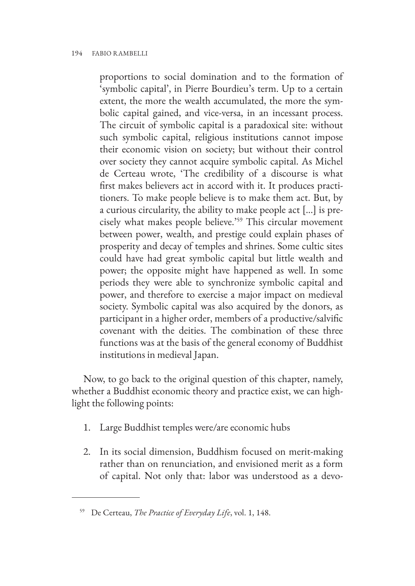proportions to social domination and to the formation of 'symbolic capital', in Pierre Bourdieu's term. Up to a certain extent, the more the wealth accumulated, the more the symbolic capital gained, and vice-versa, in an incessant process. The circuit of symbolic capital is a paradoxical site: without such symbolic capital, religious institutions cannot impose their economic vision on society; but without their control over society they cannot acquire symbolic capital. As Michel de Certeau wrote, 'The credibility of a discourse is what first makes believers act in accord with it. It produces practitioners. To make people believe is to make them act. But, by a curious circularity, the ability to make people act [...] is precisely what makes people believe.'59 This circular movement between power, wealth, and prestige could explain phases of prosperity and decay of temples and shrines. Some cultic sites could have had great symbolic capital but little wealth and power; the opposite might have happened as well. In some periods they were able to synchronize symbolic capital and power, and therefore to exercise a major impact on medieval society. Symbolic capital was also acquired by the donors, as participant in a higher order, members of a productive/salvific covenant with the deities. The combination of these three functions was at the basis of the general economy of Buddhist institutions in medieval Japan.

Now, to go back to the original question of this chapter, namely, whether a Buddhist economic theory and practice exist, we can highlight the following points:

- 1. Large Buddhist temples were/are economic hubs
- 2. In its social dimension, Buddhism focused on merit-making rather than on renunciation, and envisioned merit as a form of capital. Not only that: labor was understood as a devo-

<sup>59</sup> De Certeau, *The Practice of Everyday Life*, vol. 1, 148.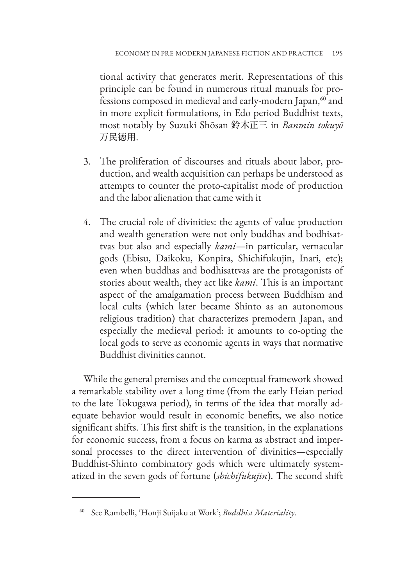tional activity that generates merit. Representations of this principle can be found in numerous ritual manuals for professions composed in medieval and early-modern Japan,<sup>60</sup> and in more explicit formulations, in Edo period Buddhist texts, most notably by Suzuki Shōsan 鈴木正三 in *Banmin tokuyō* 万民徳用.

- 3. The proliferation of discourses and rituals about labor, production, and wealth acquisition can perhaps be understood as attempts to counter the proto-capitalist mode of production and the labor alienation that came with it
- 4. The crucial role of divinities: the agents of value production and wealth generation were not only buddhas and bodhisattvas but also and especially *kami*—in particular, vernacular gods (Ebisu, Daikoku, Konpira, Shichifukujin, Inari, etc); even when buddhas and bodhisattvas are the protagonists of stories about wealth, they act like *kami*. This is an important aspect of the amalgamation process between Buddhism and local cults (which later became Shinto as an autonomous religious tradition) that characterizes premodern Japan, and especially the medieval period: it amounts to co-opting the local gods to serve as economic agents in ways that normative Buddhist divinities cannot.

While the general premises and the conceptual framework showed a remarkable stability over a long time (from the early Heian period to the late Tokugawa period), in terms of the idea that morally adequate behavior would result in economic benefits, we also notice significant shifts. This first shift is the transition, in the explanations for economic success, from a focus on karma as abstract and impersonal processes to the direct intervention of divinities—especially Buddhist-Shinto combinatory gods which were ultimately systematized in the seven gods of fortune (*shichifukujin*). The second shift

<sup>60</sup> See Rambelli, 'Honji Suijaku at Work'; *Buddhist Materiality*.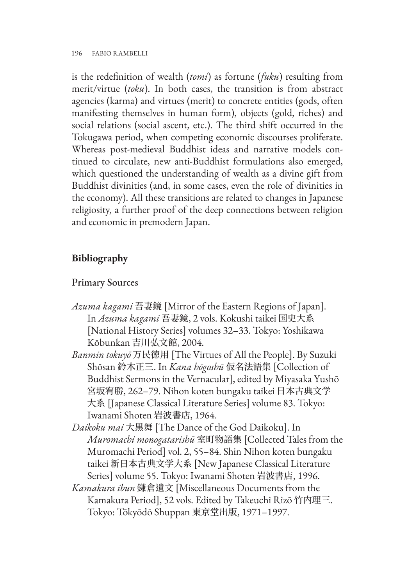is the redefinition of wealth (*tomi*) as fortune (*fuku*) resulting from merit/virtue (*toku*). In both cases, the transition is from abstract agencies (karma) and virtues (merit) to concrete entities (gods, often manifesting themselves in human form), objects (gold, riches) and social relations (social ascent, etc.). The third shift occurred in the Tokugawa period, when competing economic discourses proliferate. Whereas post-medieval Buddhist ideas and narrative models continued to circulate, new anti-Buddhist formulations also emerged, which questioned the understanding of wealth as a divine gift from Buddhist divinities (and, in some cases, even the role of divinities in the economy). All these transitions are related to changes in Japanese religiosity, a further proof of the deep connections between religion and economic in premodern Japan.

# **Bibliography**

## Primary Sources

- *Azuma kagami* 吾妻鏡 [Mirror of the Eastern Regions of Japan]. In *Azuma kagami* 吾妻鏡, 2 vols. Kokushi taikei 国史大系 [National History Series] volumes 32–33. Tokyo: Yoshikawa Kōbunkan 吉川弘文館, 2004.
- *Banmin tokuyō* 万民徳用 [The Virtues of All the People]. By Suzuki Shōsan 鈴木正三. In *Kana hōgoshū* 仮名法語集 [Collection of Buddhist Sermons in the Vernacular], edited by Miyasaka Yushō 宮坂宥勝, 262–79. Nihon koten bungaku taikei 日本古典文学 大系 [Japanese Classical Literature Series] volume 83. Tokyo: Iwanami Shoten 岩波書店, 1964.
- *Daikoku mai* 大黒舞 [The Dance of the God Daikoku]. In *Muromachi monogatarishū* 室町物語集 [Collected Tales from the Muromachi Period] vol. 2, 55–84. Shin Nihon koten bungaku taikei 新日本古典文学大系 [New Japanese Classical Literature Series] volume 55. Tokyo: Iwanami Shoten 岩波書店, 1996.
- *Kamakura ibun* 鎌倉遺文 [Miscellaneous Documents from the Kamakura Period], 52 vols. Edited by Takeuchi Rizō 竹内理三. Tokyo: Tōkyōdō Shuppan 東京堂出版, 1971–1997.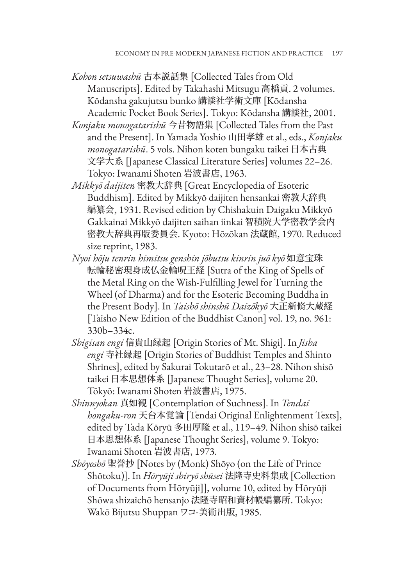- *Kohon setsuwashū* 古本説話集 [Collected Tales from Old Manuscripts]. Edited by Takahashi Mitsugu 高橋貢. 2 volumes. Kōdansha gakujutsu bunko 講談社学術文庫 [Kōdansha Academic Pocket Book Series]. Tokyo: Kōdansha 講談社, 2001.
- *Konjaku monogatarishū* 今昔物語集 [Collected Tales from the Past and the Present]. In Yamada Yoshio 山田孝雄 et al., eds., *Konjaku monogatarishū*. 5 vols. Nihon koten bungaku taikei 日本古典 文学大系 [Japanese Classical Literature Series] volumes 22–26. Tokyo: Iwanami Shoten 岩波書店, 1963.
- *Mikkyō daijiten* 密教大辞典 [Great Encyclopedia of Esoteric Buddhism]. Edited by Mikkyō daijiten hensankai 密教大辞典 編纂会, 1931. Revised edition by Chishakuin Daigaku Mikkyō Gakkainai Mikkyō daijiten saihan iinkai 智積院大学密教学会内 密教大辞典再版委員会. Kyoto: Hōzōkan 法蔵館, 1970. Reduced size reprint, 1983.
- *Nyoi hōju tenrin himitsu genshin jōbutsu kinrin juō kyō* 如意宝珠 転輪秘密現身成仏金輪呪王経 [Sutra of the King of Spells of the Metal Ring on the Wish-Fulfilling Jewel for Turning the Wheel (of Dharma) and for the Esoteric Becoming Buddha in the Present Body]. In *Taishō shinshū Daizōkyō* 大正新脩大蔵経 [Taisho New Edition of the Buddhist Canon] vol. 19, no. 961: 330b–334c.
- *Shigisan engi* 信貴山縁起 [Origin Stories of Mt. Shigi]. In *Jisha engi* 寺社縁起 [Origin Stories of Buddhist Temples and Shinto Shrines], edited by Sakurai Tokutarō et al., 23–28. Nihon shisō taikei 日本思想体系 [Japanese Thought Series], volume 20. Tōkyō: Iwanami Shoten 岩波書店, 1975.
- *Shinnyokan* 真如観 [Contemplation of Suchness]. In *Tendai hongaku-ron* 天台本覚論 [Tendai Original Enlightenment Texts], edited by Tada Kōryū 多田厚隆 et al., 119–49. Nihon shisō taikei 日本思想体系 [Japanese Thought Series], volume 9. Tokyo: Iwanami Shoten 岩波書店, 1973.
- *Shōyoshō* 聖誉抄 [Notes by (Monk) Shōyo (on the Life of Prince Shōtoku)]. In *Hōryūji shiryō shūsei* 法隆寺史料集成 [Collection of Documents from Hōryūji]], volume 10, edited by Hōryūji Shōwa shizaichō hensanjo 法隆寺昭和資材帳編纂所. Tokyo: Wakō Bijutsu Shuppan ワコ-美術出版, 1985.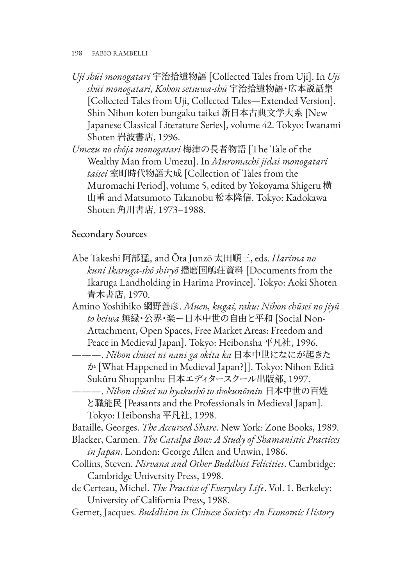- *Uji shūi monogatari* 宇治拾遺物語 [Collected Tales from Uji]. In *Uji shūi monogatari, Kohon setsuwa-shū* 宇治拾遺物語・広本説話集 [Collected Tales from Uji, Collected Tales—Extended Version]. Shin Nihon koten bungaku taikei 新日本古典文学大系 [New Japanese Classical Literature Series], volume 42. Tokyo: Iwanami Shoten 岩波書店, 1996.
- *Umezu no chōja monogatari* 梅津の長者物語 [The Tale of the Wealthy Man from Umezu]. In *Muromachi jidai monogatari taisei* 室町時代物語大成 [Collection of Tales from the Muromachi Period], volume 5, edited by Yokoyama Shigeru 横 山重 and Matsumoto Takanobu 松本隆信. Tokyo: Kadokawa Shoten 角川書店, 1973–1988.

## Secondary Sources

- Abe Takeshi 阿部猛, and Ōta Junzō 太田順三, eds. *Harima no kuni Ikaruga-shō shiryō* 播磨国鵤荘資料 [Documents from the Ikaruga Landholding in Harima Province]. Tokyo: Aoki Shoten 青木書店, 1970.
- Amino Yoshihiko 網野善彦. *Muen, kugai, raku: Nihon chūsei no jiyū to heiwa* 無縁・公界・楽ー日本中世の自由と平和 [Social Non-Attachment, Open Spaces, Free Market Areas: Freedom and Peace in Medieval Japan]. Tokyo: Heibonsha 平凡社, 1996.
- ———. *Nihon chūsei ni nani ga okita ka* 日本中世になにが起きた か [What Happened in Medieval Japan?]]. Tokyo: Nihon Editā Sukūru Shuppanbu 日本エディタースクール出版部, 1997.
- ———. *Nihon chūsei no hyakushō to shokunōmin* 日本中世の百姓 と職能民 [Peasants and the Professionals in Medieval Japan]. Tokyo: Heibonsha 平凡社, 1998.

Bataille, Georges. *The Accursed Share*. New York: Zone Books, 1989.

- Blacker, Carmen. *The Catalpa Bow: A Study of Shamanistic Practices in Japan*. London: George Allen and Unwin, 1986.
- Collins, Steven. *Nirvana and Other Buddhist Felicities*. Cambridge: Cambridge University Press, 1998.
- de Certeau, Michel. *The Practice of Everyday Life*. Vol. 1. Berkeley: University of California Press, 1988.
- Gernet, Jacques. *Buddhism in Chinese Society: An Economic History*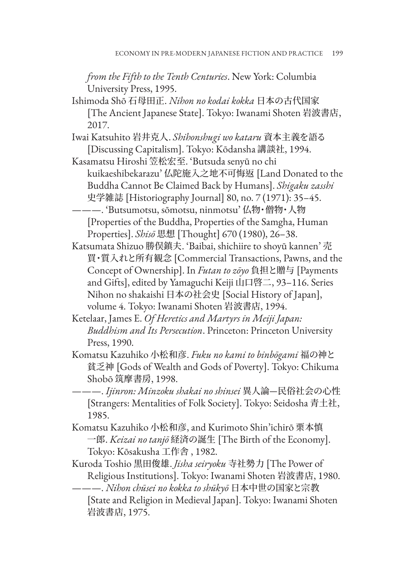*from the Fifth to the Tenth Centuries*. New York: Columbia University Press, 1995.

- Ishimoda Shō 石母田正. *Nihon no kodai kokka* 日本の古代国家 [The Ancient Japanese State]. Tokyo: Iwanami Shoten 岩波書店, 2017.
- Iwai Katsuhito 岩井克人. *Shihonshugi wo kataru* 資本主義を語る [Discussing Capitalism]. Tokyo: Kōdansha 講談社, 1994.
- Kasamatsu Hiroshi 笠松宏至. 'Butsuda senyū no chi kuikaeshibekarazu' 仏陀施入之地不可悔返 [Land Donated to the Buddha Cannot Be Claimed Back by Humans]. *Shigaku zasshi* 史学雑誌 [Historiography Journal] 80, no. 7 (1971): 35–45.
	- ———. 'Butsumotsu, sōmotsu, ninmotsu' 仏物・僧物・人物 [Properties of the Buddha, Properties of the Samgha, Human Properties]. *Shisō* 思想 [Thought] 670 (1980), 26–38.
- Katsumata Shizuo 勝俣鎮夫. 'Baibai, shichiire to shoyū kannen' 売 買・質入れと所有観念 [Commercial Transactions, Pawns, and the Concept of Ownership]. In *Futan to zōyo* 負担と贈与 [Payments and Gifts], edited by Yamaguchi Keiji 山口啓二, 93–116. Series Nihon no shakaishi 日本の社会史 [Social History of Japan], volume 4. Tokyo: Iwanami Shoten 岩波書店, 1994.
- Ketelaar, James E. *Of Heretics and Martyrs in Meiji Japan: Buddhism and Its Persecution*. Princeton: Princeton University Press, 1990.
- Komatsu Kazuhiko 小松和彦. *Fuku no kami to binbōgami* 福の神と 貧乏神 [Gods of Wealth and Gods of Poverty]. Tokyo: Chikuma Shobō 筑摩書房, 1998.
- ———. *Ijinron: Minzoku shakai no shinsei* 異人論—民俗社会の心性 [Strangers: Mentalities of Folk Society]. Tokyo: Seidosha 青土社, 1985.
- Komatsu Kazuhiko 小松和彦, and Kurimoto Shin'ichirō 栗本慎 一郎. *Keizai no tanjō* 経済の誕生 [The Birth of the Economy]. Tokyo: Kōsakusha 工作舎 , 1982.
- Kuroda Toshio 黒田俊雄. *Jisha seiryoku* 寺社勢力 [The Power of Religious Institutions]. Tokyo: Iwanami Shoten 岩波書店, 1980.

———. *Nihon chūsei no kokka to shūkyō* 日本中世の国家と宗教 [State and Religion in Medieval Japan]. Tokyo: Iwanami Shoten 岩波書店, 1975.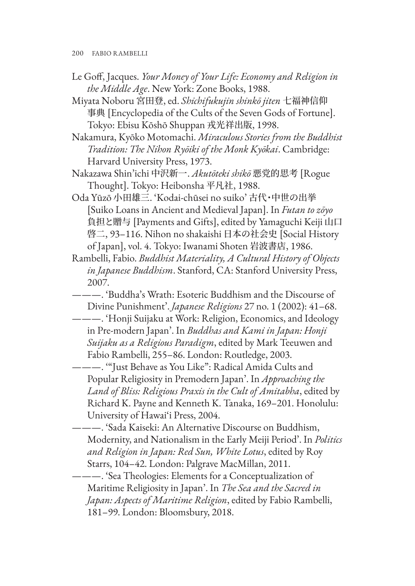200 FABIO RAMBELLI

- Le Goff, Jacques. *Your Money of Your Life: Economy and Religion in the Middle Age*. New York: Zone Books, 1988.
- Miyata Noboru 宮田登, ed. *Shichifukujin shinkō jiten* 七福神信仰 事典 [Encyclopedia of the Cults of the Seven Gods of Fortune]. Tokyo: Ebisu Kōshō Shuppan 戎光祥出版, 1998.
- Nakamura, Kyōko Motomachi. *Miraculous Stories from the Buddhist Tradition: The Nihon Ryōiki of the Monk Kyōkai*. Cambridge: Harvard University Press, 1973.
- Nakazawa Shin'ichi 中沢新一. *Akutōteki shikō* 悪党的思考 [Rogue Thought]. Tokyo: Heibonsha 平凡社, 1988.
- Oda Yūzō 小田雄三. 'Kodai-chūsei no suiko' 古代・中世の出挙 [Suiko Loans in Ancient and Medieval Japan]. In *Futan to zōyo* 負担と贈与 [Payments and Gifts], edited by Yamaguchi Keiji 山口 啓二, 93–116. Nihon no shakaishi 日本の社会史 [Social History of Japan], vol. 4. Tokyo: Iwanami Shoten 岩波書店, 1986.
- Rambelli, Fabio. *Buddhist Materiality, A Cultural History of Objects in Japanese Buddhism*. Stanford, CA: Stanford University Press, 2007.
- ———. 'Buddha's Wrath: Esoteric Buddhism and the Discourse of Divine Punishment'. *Japanese Religions* 27 no. 1 (2002): 41–68.
- ———. 'Honji Suijaku at Work: Religion, Economics, and Ideology in Pre-modern Japan'. In *Buddhas and Kami in Japan: Honji Suijaku as a Religious Paradigm*, edited by Mark Teeuwen and Fabio Rambelli, 255–86. London: Routledge, 2003.
- ———. '"Just Behave as You Like": Radical Amida Cults and Popular Religiosity in Premodern Japan'. In *Approaching the Land of Bliss: Religious Praxis in the Cult of Amitabha*, edited by Richard K. Payne and Kenneth K. Tanaka, 169–201. Honolulu: University of Hawai'i Press, 2004.
- ———. 'Sada Kaiseki: An Alternative Discourse on Buddhism, Modernity, and Nationalism in the Early Meiji Period'. In *Politics and Religion in Japan: Red Sun, White Lotus*, edited by Roy Starrs, 104–42. London: Palgrave MacMillan, 2011.

———. 'Sea Theologies: Elements for a Conceptualization of Maritime Religiosity in Japan'. In *The Sea and the Sacred in Japan: Aspects of Maritime Religion*, edited by Fabio Rambelli, 181–99. London: Bloomsbury, 2018.